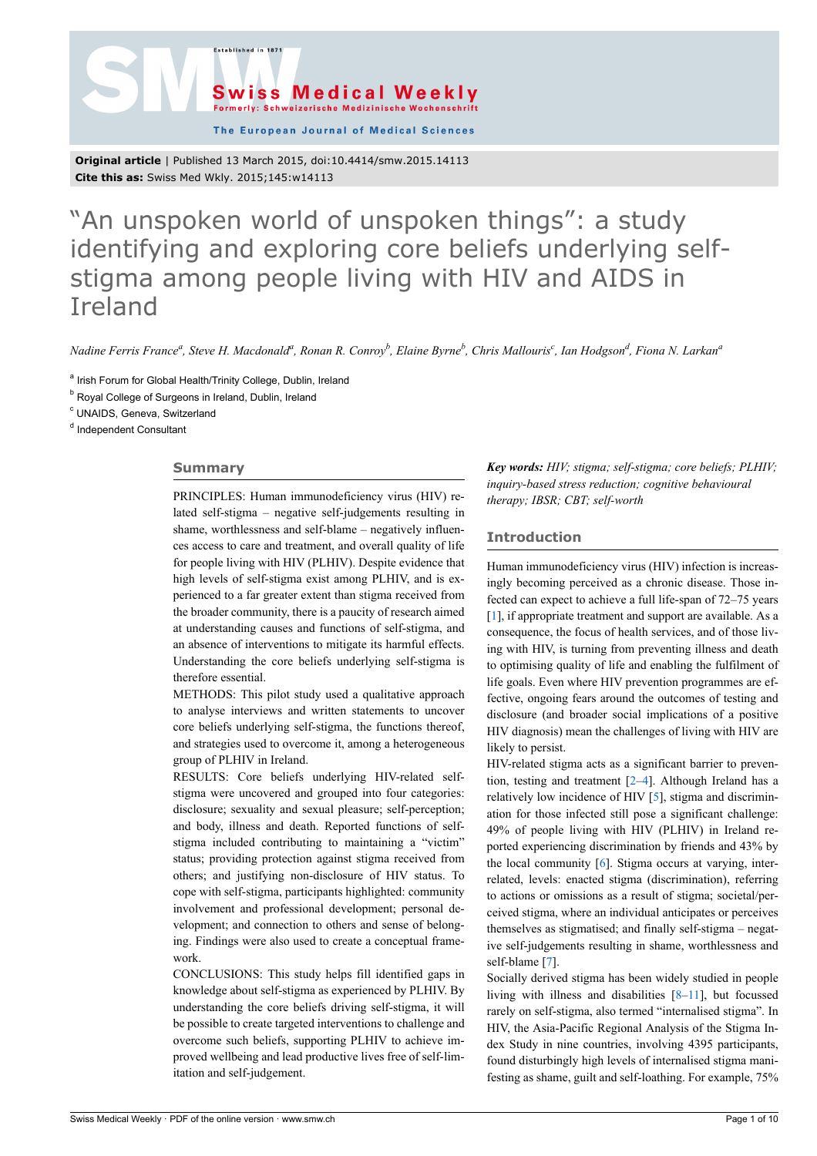.<br>Established in 187



The European Journal of Medical Sciences

**Original article** | Published 13 March 2015, doi:10.4414/smw.2015.14113 **Cite this as:** Swiss Med Wkly. 2015;145:w14113

# "An unspoken world of unspoken things": a study identifying and exploring core beliefs underlying selfstigma among people living with HIV and AIDS in Ireland

Nadine Ferris France<sup>a</sup>, Steve H. Macdonald<sup>a</sup>, Ronan R. Conroy<sup>b</sup>, Elaine Byrne<sup>b</sup>, Chris Mallouris<sup>c</sup>, Ian Hodgson<sup>d</sup>, Fiona N. Larkan<sup>a</sup>

<sup>a</sup> Irish Forum for Global Health/Trinity College, Dublin, Ireland

<sup>b</sup> Royal College of Surgeons in Ireland, Dublin, Ireland

<sup>c</sup> UNAIDS, Geneva, Switzerland

<sup>d</sup> Independent Consultant

# **Summary**

PRINCIPLES: Human immunodeficiency virus (HIV) related self-stigma – negative self-judgements resulting in shame, worthlessness and self-blame – negatively influences access to care and treatment, and overall quality of life for people living with HIV (PLHIV). Despite evidence that high levels of self-stigma exist among PLHIV, and is experienced to a far greater extent than stigma received from the broader community, there is a paucity of research aimed at understanding causes and functions of self-stigma, and an absence of interventions to mitigate its harmful effects. Understanding the core beliefs underlying self-stigma is therefore essential.

METHODS: This pilot study used a qualitative approach to analyse interviews and written statements to uncover core beliefs underlying self-stigma, the functions thereof, and strategies used to overcome it, among a heterogeneous group of PLHIV in Ireland.

RESULTS: Core beliefs underlying HIV-related selfstigma were uncovered and grouped into four categories: disclosure; sexuality and sexual pleasure; self-perception; and body, illness and death. Reported functions of selfstigma included contributing to maintaining a "victim" status; providing protection against stigma received from others; and justifying non-disclosure of HIV status. To cope with self-stigma, participants highlighted: community involvement and professional development; personal development; and connection to others and sense of belonging. Findings were also used to create a conceptual framework.

CONCLUSIONS: This study helps fill identified gaps in knowledge about self-stigma as experienced by PLHIV. By understanding the core beliefs driving self-stigma, it will be possible to create targeted interventions to challenge and overcome such beliefs, supporting PLHIV to achieve improved wellbeing and lead productive lives free of self-limitation and self-judgement.

*Key words: HIV; stigma; self-stigma; core beliefs; PLHIV; inquiry-based stress reduction; cognitive behavioural therapy; IBSR; CBT; self-worth*

# **Introduction**

Human immunodeficiency virus (HIV) infection is increasingly becoming perceived as a chronic disease. Those infected can expect to achieve a full life-span of 72–75 years [[1](#page-7-0)], if appropriate treatment and support are available. As a consequence, the focus of health services, and of those living with HIV, is turning from preventing illness and death to optimising quality of life and enabling the fulfilment of life goals. Even where HIV prevention programmes are effective, ongoing fears around the outcomes of testing and disclosure (and broader social implications of a positive HIV diagnosis) mean the challenges of living with HIV are likely to persist.

HIV-related stigma acts as a significant barrier to prevention, testing and treatment [[2](#page-7-1)–[4](#page-7-2)]. Although Ireland has a relatively low incidence of HIV [[5](#page-7-3)], stigma and discrimination for those infected still pose a significant challenge: 49% of people living with HIV (PLHIV) in Ireland reported experiencing discrimination by friends and 43% by the local community [[6](#page-7-4)]. Stigma occurs at varying, interrelated, levels: enacted stigma (discrimination), referring to actions or omissions as a result of stigma; societal/perceived stigma, where an individual anticipates or perceives themselves as stigmatised; and finally self-stigma – negative self-judgements resulting in shame, worthlessness and self-blame [[7](#page-7-5)].

Socially derived stigma has been widely studied in people living with illness and disabilities [\[8–](#page-7-6)[11\]](#page-7-7), but focussed rarely on self-stigma, also termed "internalised stigma". In HIV, the Asia-Pacific Regional Analysis of the Stigma Index Study in nine countries, involving 4395 participants, found disturbingly high levels of internalised stigma manifesting as shame, guilt and self-loathing. For example, 75%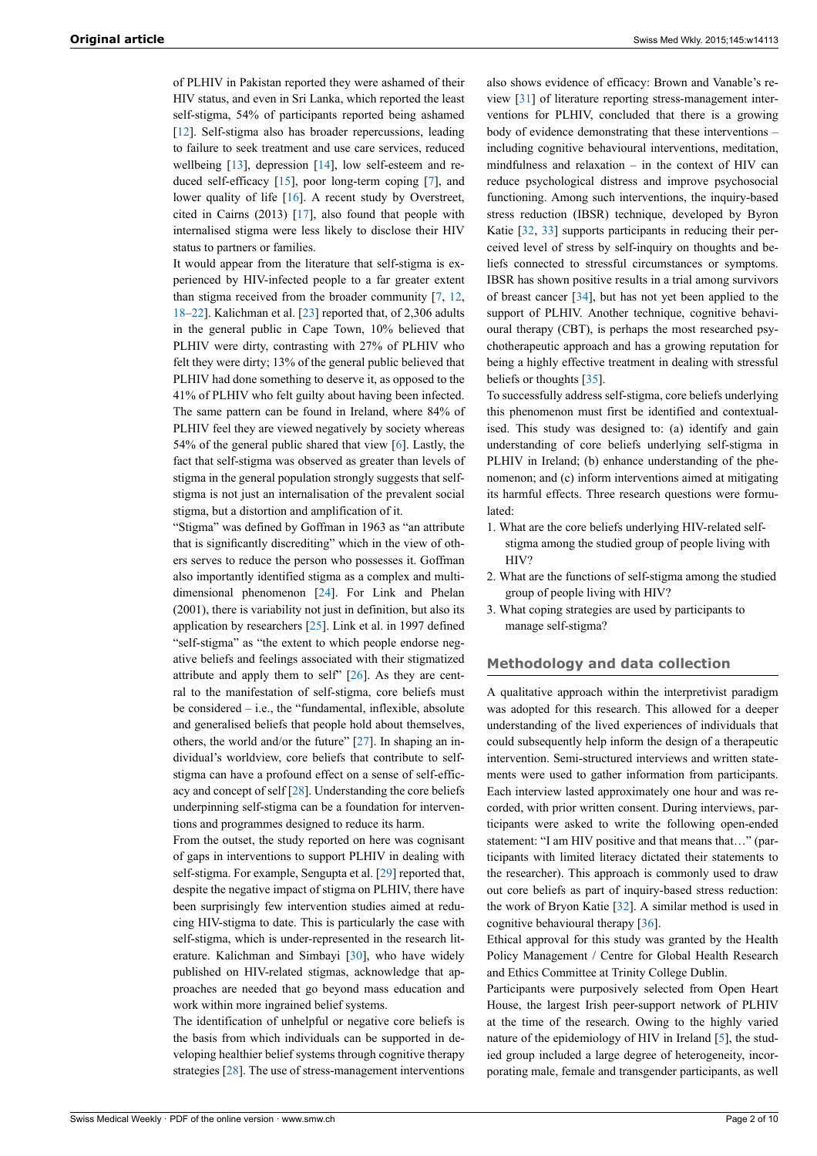of PLHIV in Pakistan reported they were ashamed of their HIV status, and even in Sri Lanka, which reported the least self-stigma, 54% of participants reported being ashamed [\[12](#page-7-8)]. Self-stigma also has broader repercussions, leading to failure to seek treatment and use care services, reduced wellbeing [\[13](#page-7-9)], depression [[14\]](#page-7-10), low self-esteem and reduced self-efficacy [[15\]](#page-7-11), poor long-term coping [[7](#page-7-5)], and lower quality of life [[16\]](#page-7-12). A recent study by Overstreet, cited in Cairns (2013) [\[17](#page-7-13)], also found that people with internalised stigma were less likely to disclose their HIV status to partners or families.

It would appear from the literature that self-stigma is experienced by HIV-infected people to a far greater extent than stigma received from the broader community [\[7,](#page-7-5) [12](#page-7-8), [18](#page-7-14)–[22\]](#page-7-15). Kalichman et al. [\[23](#page-7-16)] reported that, of 2,306 adults in the general public in Cape Town, 10% believed that PLHIV were dirty, contrasting with 27% of PLHIV who felt they were dirty; 13% of the general public believed that PLHIV had done something to deserve it, as opposed to the 41% of PLHIV who felt guilty about having been infected. The same pattern can be found in Ireland, where 84% of PLHIV feel they are viewed negatively by society whereas 54% of the general public shared that view [\[6\]](#page-7-4). Lastly, the fact that self-stigma was observed as greater than levels of stigma in the general population strongly suggests that selfstigma is not just an internalisation of the prevalent social stigma, but a distortion and amplification of it.

"Stigma" was defined by Goffman in 1963 as "an attribute that is significantly discrediting" which in the view of others serves to reduce the person who possesses it. Goffman also importantly identified stigma as a complex and multidimensional phenomenon [\[24](#page-7-17)]. For Link and Phelan (2001), there is variability not just in definition, but also its application by researchers [[25\]](#page-7-18). Link et al. in 1997 defined "self-stigma" as "the extent to which people endorse negative beliefs and feelings associated with their stigmatized attribute and apply them to self" [\[26](#page-7-19)]. As they are central to the manifestation of self-stigma, core beliefs must be considered – i.e., the "fundamental, inflexible, absolute and generalised beliefs that people hold about themselves, others, the world and/or the future" [[27\]](#page-7-20). In shaping an individual's worldview, core beliefs that contribute to selfstigma can have a profound effect on a sense of self-efficacy and concept of self [[28\]](#page-7-21). Understanding the core beliefs underpinning self-stigma can be a foundation for interventions and programmes designed to reduce its harm.

From the outset, the study reported on here was cognisant of gaps in interventions to support PLHIV in dealing with self-stigma. For example, Sengupta et al. [[29\]](#page-7-22) reported that, despite the negative impact of stigma on PLHIV, there have been surprisingly few intervention studies aimed at reducing HIV-stigma to date. This is particularly the case with self-stigma, which is under-represented in the research literature. Kalichman and Simbayi [[30\]](#page-7-23), who have widely published on HIV-related stigmas, acknowledge that approaches are needed that go beyond mass education and work within more ingrained belief systems.

The identification of unhelpful or negative core beliefs is the basis from which individuals can be supported in developing healthier belief systems through cognitive therapy strategies [[28\]](#page-7-21). The use of stress-management interventions

also shows evidence of efficacy: Brown and Vanable's review [\[31](#page-7-24)] of literature reporting stress-management interventions for PLHIV, concluded that there is a growing body of evidence demonstrating that these interventions – including cognitive behavioural interventions, meditation, mindfulness and relaxation – in the context of HIV can reduce psychological distress and improve psychosocial functioning. Among such interventions, the inquiry-based stress reduction (IBSR) technique, developed by Byron Katie [\[32](#page-7-25), [33](#page-7-26)] supports participants in reducing their perceived level of stress by self-inquiry on thoughts and beliefs connected to stressful circumstances or symptoms. IBSR has shown positive results in a trial among survivors of breast cancer [[34\]](#page-7-27), but has not yet been applied to the support of PLHIV. Another technique, cognitive behavioural therapy (CBT), is perhaps the most researched psychotherapeutic approach and has a growing reputation for being a highly effective treatment in dealing with stressful beliefs or thoughts [[35\]](#page-7-28).

To successfully address self-stigma, core beliefs underlying this phenomenon must first be identified and contextualised. This study was designed to: (a) identify and gain understanding of core beliefs underlying self-stigma in PLHIV in Ireland; (b) enhance understanding of the phenomenon; and (c) inform interventions aimed at mitigating its harmful effects. Three research questions were formulated:

- 1. What are the core beliefs underlying HIV-related selfstigma among the studied group of people living with HIV?
- 2. What are the functions of self-stigma among the studied group of people living with HIV?
- 3. What coping strategies are used by participants to manage self-stigma?

# **Methodology and data collection**

A qualitative approach within the interpretivist paradigm was adopted for this research. This allowed for a deeper understanding of the lived experiences of individuals that could subsequently help inform the design of a therapeutic intervention. Semi-structured interviews and written statements were used to gather information from participants. Each interview lasted approximately one hour and was recorded, with prior written consent. During interviews, participants were asked to write the following open-ended statement: "I am HIV positive and that means that…" (participants with limited literacy dictated their statements to the researcher). This approach is commonly used to draw out core beliefs as part of inquiry-based stress reduction: the work of Bryon Katie [\[32](#page-7-25)]. A similar method is used in cognitive behavioural therapy [\[36](#page-8-0)].

Ethical approval for this study was granted by the Health Policy Management / Centre for Global Health Research and Ethics Committee at Trinity College Dublin.

Participants were purposively selected from Open Heart House, the largest Irish peer-support network of PLHIV at the time of the research. Owing to the highly varied nature of the epidemiology of HIV in Ireland [\[5\]](#page-7-3), the studied group included a large degree of heterogeneity, incorporating male, female and transgender participants, as well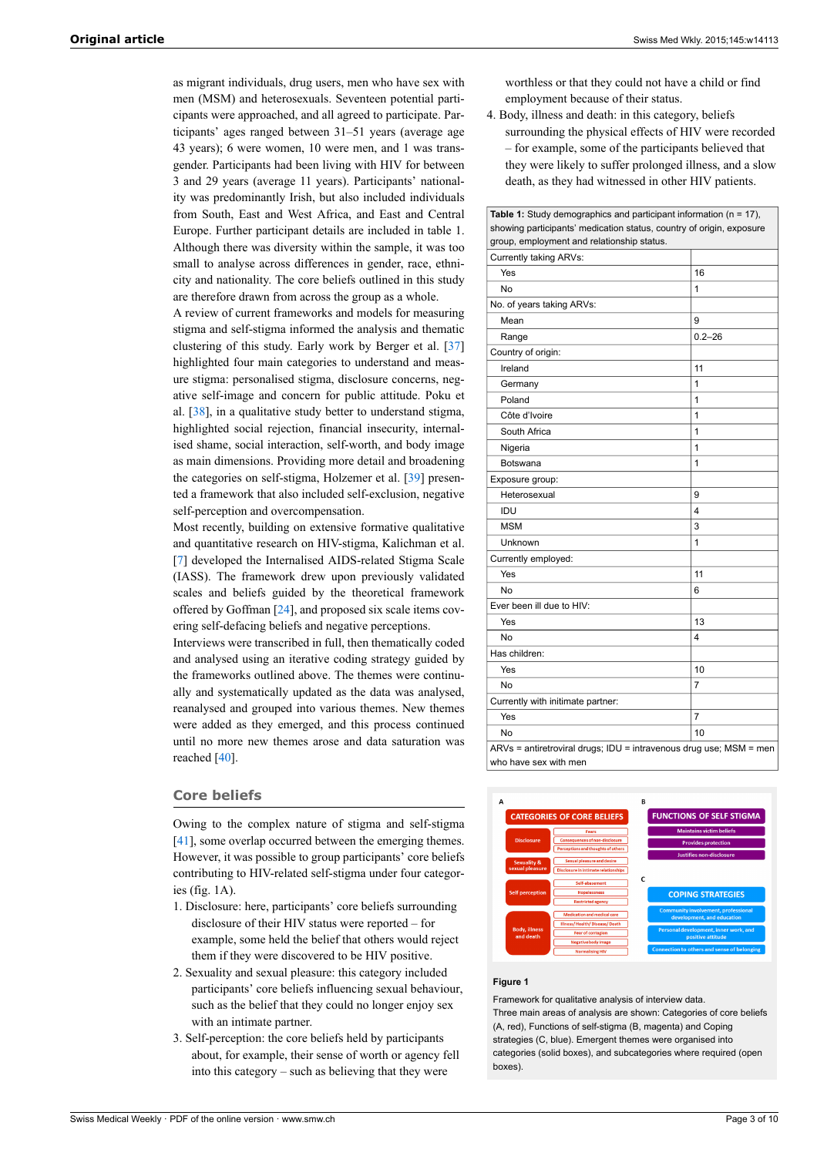as migrant individuals, drug users, men who have sex with men (MSM) and heterosexuals. Seventeen potential participants were approached, and all agreed to participate. Participants' ages ranged between 31–51 years (average age 43 years); 6 were women, 10 were men, and 1 was transgender. Participants had been living with HIV for between 3 and 29 years (average 11 years). Participants' nationality was predominantly Irish, but also included individuals from South, East and West Africa, and East and Central Europe. Further participant details are included in table 1. Although there was diversity within the sample, it was too small to analyse across differences in gender, race, ethnicity and nationality. The core beliefs outlined in this study are therefore drawn from across the group as a whole.

A review of current frameworks and models for measuring stigma and self-stigma informed the analysis and thematic clustering of this study. Early work by Berger et al. [\[37](#page-8-1)] highlighted four main categories to understand and measure stigma: personalised stigma, disclosure concerns, negative self-image and concern for public attitude. Poku et al. [[38\]](#page-8-2), in a qualitative study better to understand stigma, highlighted social rejection, financial insecurity, internalised shame, social interaction, self-worth, and body image as main dimensions. Providing more detail and broadening the categories on self-stigma, Holzemer et al. [\[39](#page-8-3)] presented a framework that also included self-exclusion, negative self-perception and overcompensation.

Most recently, building on extensive formative qualitative and quantitative research on HIV-stigma, Kalichman et al. [\[7\]](#page-7-5) developed the Internalised AIDS-related Stigma Scale (IASS). The framework drew upon previously validated scales and beliefs guided by the theoretical framework offered by Goffman [\[24](#page-7-17)], and proposed six scale items covering self-defacing beliefs and negative perceptions.

Interviews were transcribed in full, then thematically coded and analysed using an iterative coding strategy guided by the frameworks outlined above. The themes were continually and systematically updated as the data was analysed, reanalysed and grouped into various themes. New themes were added as they emerged, and this process continued until no more new themes arose and data saturation was reached [\[40](#page-8-4)].

## **Core beliefs**

Owing to the complex nature of stigma and self-stigma [\[41](#page-8-5)], some overlap occurred between the emerging themes. However, it was possible to group participants' core beliefs contributing to HIV-related self-stigma under four categories (fig. 1A).

- 1. Disclosure: here, participants' core beliefs surrounding disclosure of their HIV status were reported – for example, some held the belief that others would reject them if they were discovered to be HIV positive.
- 2. Sexuality and sexual pleasure: this category included participants' core beliefs influencing sexual behaviour, such as the belief that they could no longer enjoy sex with an intimate partner.
- 3. Self-perception: the core beliefs held by participants about, for example, their sense of worth or agency fell into this category – such as believing that they were

worthless or that they could not have a child or find employment because of their status.

4. Body, illness and death: in this category, beliefs surrounding the physical effects of HIV were recorded – for example, some of the participants believed that they were likely to suffer prolonged illness, and a slow death, as they had witnessed in other HIV patients.

| showing participants' medication status, country of origin, exposure                        |            |
|---------------------------------------------------------------------------------------------|------------|
| group, employment and relationship status.                                                  |            |
| Currently taking ARVs:                                                                      |            |
| Yes                                                                                         | 16         |
| No                                                                                          | 1          |
| No. of years taking ARVs:                                                                   |            |
| Mean                                                                                        | 9          |
| Range                                                                                       | $0.2 - 26$ |
| Country of origin:                                                                          |            |
| Ireland                                                                                     | 11         |
| Germany                                                                                     | 1          |
| Poland                                                                                      | 1          |
| Côte d'Ivoire                                                                               | 1          |
| South Africa                                                                                | 1          |
| Nigeria                                                                                     | 1          |
| Botswana                                                                                    | 1          |
| Exposure group:                                                                             |            |
| Heterosexual                                                                                | 9          |
| IDU                                                                                         | 4          |
| <b>MSM</b>                                                                                  | 3          |
| Unknown                                                                                     | 1          |
| Currently employed:                                                                         |            |
| Yes                                                                                         | 11         |
| No                                                                                          | 6          |
| Ever been ill due to HIV:                                                                   |            |
| Yes                                                                                         | 13         |
| No                                                                                          | 4          |
| Has children:                                                                               |            |
| Yes                                                                                         | 10         |
| No                                                                                          | 7          |
| Currently with initimate partner:                                                           |            |
| Yes                                                                                         | 7          |
| No                                                                                          | 10         |
| ARVs = antiretroviral drugs; IDU = intravenous drug use; MSM = men<br>who have sex with men |            |



#### **Figure 1**

Framework for qualitative analysis of interview data. Three main areas of analysis are shown: Categories of core beliefs (A, red), Functions of self-stigma (B, magenta) and Coping strategies (C, blue). Emergent themes were organised into categories (solid boxes), and subcategories where required (open boxes).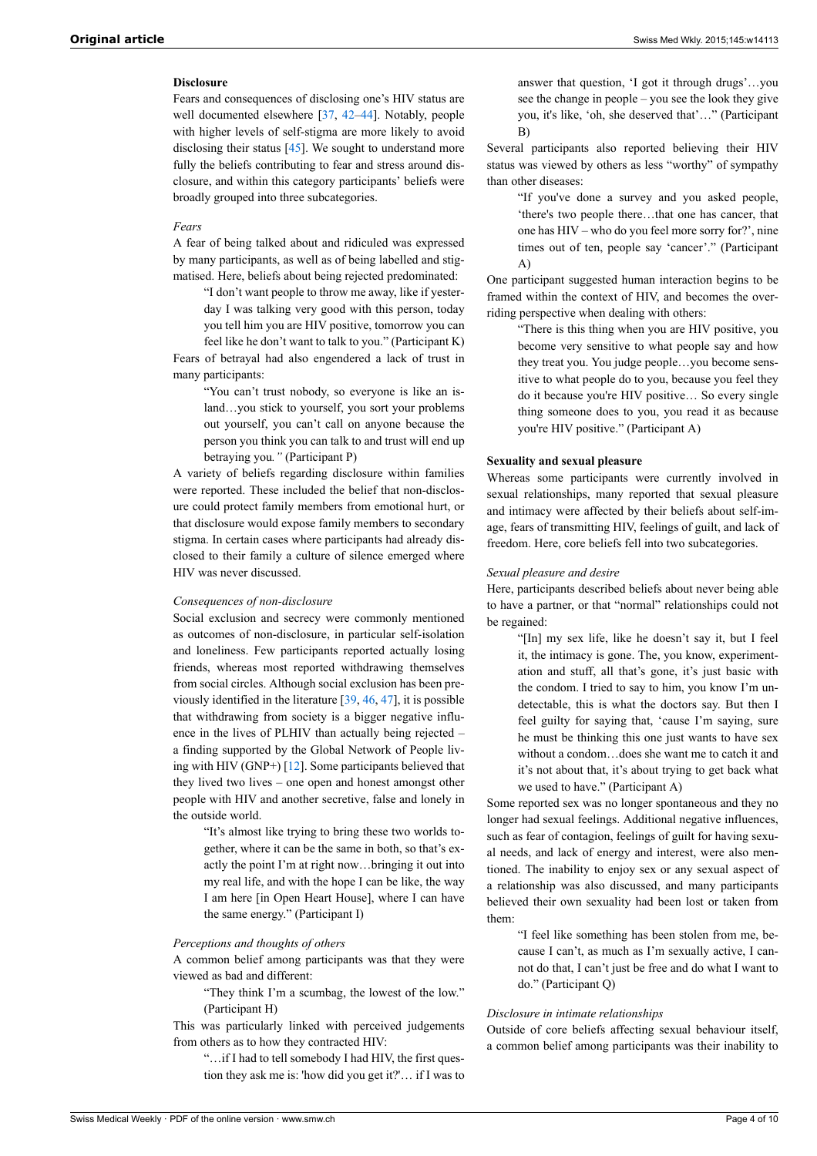# **Disclosure**

Fears and consequences of disclosing one's HIV status are well documented elsewhere [[37,](#page-8-1) [42](#page-8-6)–[44\]](#page-8-7). Notably, people with higher levels of self-stigma are more likely to avoid disclosing their status [\[45](#page-8-8)]. We sought to understand more fully the beliefs contributing to fear and stress around disclosure, and within this category participants' beliefs were broadly grouped into three subcategories.

## *Fears*

A fear of being talked about and ridiculed was expressed by many participants, as well as of being labelled and stigmatised. Here, beliefs about being rejected predominated:

> "I don't want people to throw me away, like if yesterday I was talking very good with this person, today you tell him you are HIV positive, tomorrow you can feel like he don't want to talk to you." (Participant K)

Fears of betrayal had also engendered a lack of trust in many participants:

> "You can't trust nobody, so everyone is like an island…you stick to yourself, you sort your problems out yourself, you can't call on anyone because the person you think you can talk to and trust will end up betraying you*."* (Participant P)

A variety of beliefs regarding disclosure within families were reported. These included the belief that non-disclosure could protect family members from emotional hurt, or that disclosure would expose family members to secondary stigma. In certain cases where participants had already disclosed to their family a culture of silence emerged where HIV was never discussed.

## *Consequences of non-disclosure*

Social exclusion and secrecy were commonly mentioned as outcomes of non-disclosure, in particular self-isolation and loneliness. Few participants reported actually losing friends, whereas most reported withdrawing themselves from social circles. Although social exclusion has been previously identified in the literature [[39,](#page-8-3) [46](#page-8-9), [47](#page-8-2)], it is possible that withdrawing from society is a bigger negative influence in the lives of PLHIV than actually being rejected – a finding supported by the Global Network of People living with HIV (GNP+)  $[12]$  $[12]$ . Some participants believed that they lived two lives – one open and honest amongst other people with HIV and another secretive, false and lonely in the outside world.

> "It's almost like trying to bring these two worlds together, where it can be the same in both, so that's exactly the point I'm at right now…bringing it out into my real life, and with the hope I can be like, the way I am here [in Open Heart House], where I can have the same energy." (Participant I)

### *Perceptions and thoughts of others*

A common belief among participants was that they were viewed as bad and different:

"They think I'm a scumbag, the lowest of the low." (Participant H)

This was particularly linked with perceived judgements from others as to how they contracted HIV:

> "…if I had to tell somebody I had HIV, the first question they ask me is: 'how did you get it?'… if I was to

answer that question, 'I got it through drugs'…you see the change in people – you see the look they give you, it's like, 'oh, she deserved that'…" (Participant B)

Several participants also reported believing their HIV status was viewed by others as less "worthy" of sympathy than other diseases:

> "If you've done a survey and you asked people, 'there's two people there…that one has cancer, that one has HIV – who do you feel more sorry for?', nine times out of ten, people say 'cancer'." (Participant A)

One participant suggested human interaction begins to be framed within the context of HIV, and becomes the overriding perspective when dealing with others:

"There is this thing when you are HIV positive, you become very sensitive to what people say and how they treat you. You judge people…you become sensitive to what people do to you, because you feel they do it because you're HIV positive… So every single thing someone does to you, you read it as because you're HIV positive." (Participant A)

## **Sexuality and sexual pleasure**

Whereas some participants were currently involved in sexual relationships, many reported that sexual pleasure and intimacy were affected by their beliefs about self-image, fears of transmitting HIV, feelings of guilt, and lack of freedom. Here, core beliefs fell into two subcategories.

#### *Sexual pleasure and desire*

Here, participants described beliefs about never being able to have a partner, or that "normal" relationships could not be regained:

"[In] my sex life, like he doesn't say it, but I feel it, the intimacy is gone. The, you know, experimentation and stuff, all that's gone, it's just basic with the condom. I tried to say to him, you know I'm undetectable, this is what the doctors say. But then I feel guilty for saying that, 'cause I'm saying, sure he must be thinking this one just wants to have sex without a condom…does she want me to catch it and it's not about that, it's about trying to get back what we used to have." (Participant A)

Some reported sex was no longer spontaneous and they no longer had sexual feelings. Additional negative influences, such as fear of contagion, feelings of guilt for having sexual needs, and lack of energy and interest, were also mentioned. The inability to enjoy sex or any sexual aspect of a relationship was also discussed, and many participants believed their own sexuality had been lost or taken from them:

> "I feel like something has been stolen from me, because I can't, as much as I'm sexually active, I cannot do that, I can't just be free and do what I want to do." (Participant Q)

## *Disclosure in intimate relationships*

Outside of core beliefs affecting sexual behaviour itself, a common belief among participants was their inability to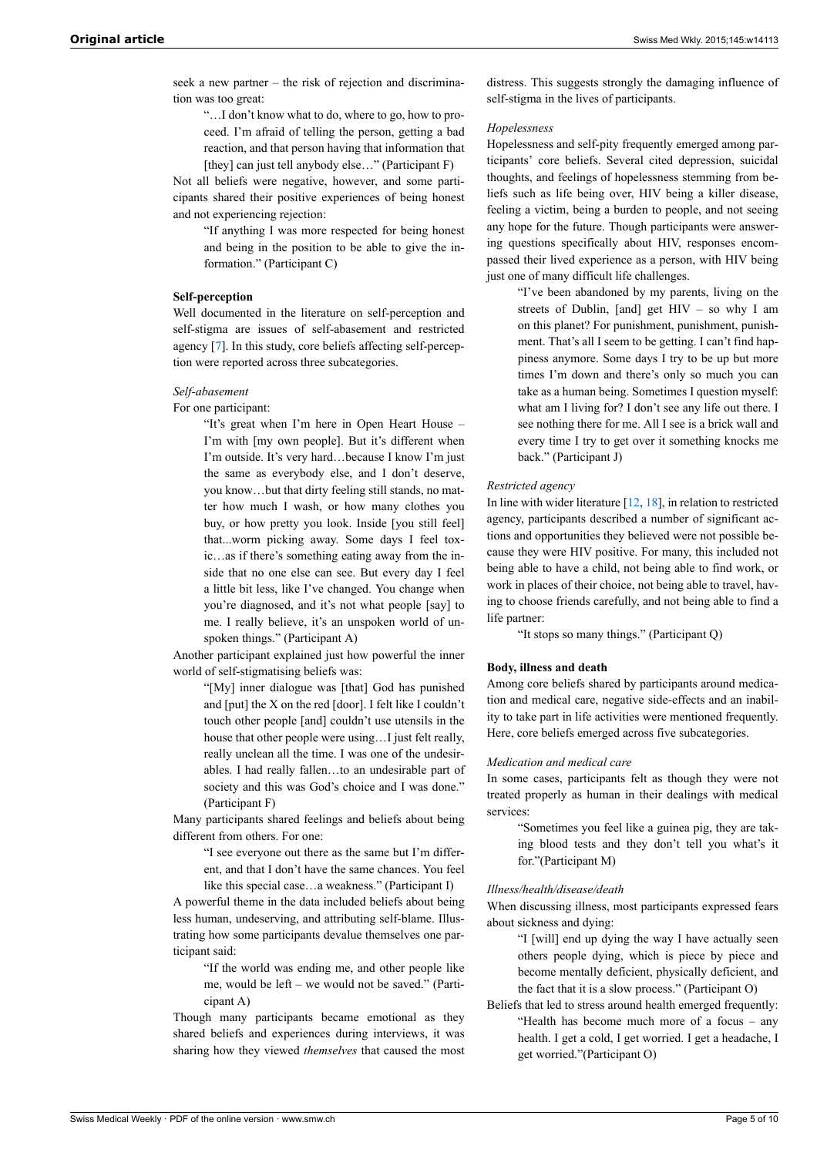seek a new partner – the risk of rejection and discrimination was too great:

"…I don't know what to do, where to go, how to proceed. I'm afraid of telling the person, getting a bad reaction, and that person having that information that [they] can just tell anybody else..." (Participant F)

Not all beliefs were negative, however, and some participants shared their positive experiences of being honest and not experiencing rejection:

> "If anything I was more respected for being honest and being in the position to be able to give the information." (Participant C)

# **Self-perception**

Well documented in the literature on self-perception and self-stigma are issues of self-abasement and restricted agency [[7](#page-7-5)]. In this study, core beliefs affecting self-perception were reported across three subcategories.

## *Self-abasement*

For one participant:

"It's great when I'm here in Open Heart House – I'm with [my own people]. But it's different when I'm outside. It's very hard…because I know I'm just the same as everybody else, and I don't deserve, you know…but that dirty feeling still stands, no matter how much I wash, or how many clothes you buy, or how pretty you look. Inside [you still feel] that...worm picking away. Some days I feel toxic…as if there's something eating away from the inside that no one else can see. But every day I feel a little bit less, like I've changed. You change when you're diagnosed, and it's not what people [say] to me. I really believe, it's an unspoken world of unspoken things." (Participant A)

Another participant explained just how powerful the inner world of self-stigmatising beliefs was:

> "[My] inner dialogue was [that] God has punished and [put] the X on the red [door]. I felt like I couldn't touch other people [and] couldn't use utensils in the house that other people were using…I just felt really, really unclean all the time. I was one of the undesirables. I had really fallen…to an undesirable part of society and this was God's choice and I was done." (Participant F)

Many participants shared feelings and beliefs about being different from others. For one:

"I see everyone out there as the same but I'm different, and that I don't have the same chances. You feel like this special case…a weakness." (Participant I)

A powerful theme in the data included beliefs about being less human, undeserving, and attributing self-blame. Illustrating how some participants devalue themselves one participant said:

"If the world was ending me, and other people like me, would be left – we would not be saved." (Participant A)

Though many participants became emotional as they shared beliefs and experiences during interviews, it was sharing how they viewed *themselves* that caused the most

distress. This suggests strongly the damaging influence of self-stigma in the lives of participants.

## *Hopelessness*

Hopelessness and self-pity frequently emerged among participants' core beliefs. Several cited depression, suicidal thoughts, and feelings of hopelessness stemming from beliefs such as life being over, HIV being a killer disease, feeling a victim, being a burden to people, and not seeing any hope for the future. Though participants were answering questions specifically about HIV, responses encompassed their lived experience as a person, with HIV being just one of many difficult life challenges.

> "I've been abandoned by my parents, living on the streets of Dublin, [and] get HIV – so why I am on this planet? For punishment, punishment, punishment. That's all I seem to be getting. I can't find happiness anymore. Some days I try to be up but more times I'm down and there's only so much you can take as a human being. Sometimes I question myself: what am I living for? I don't see any life out there. I see nothing there for me. All I see is a brick wall and every time I try to get over it something knocks me back." (Participant J)

# *Restricted agency*

In line with wider literature [[12,](#page-7-8) [18](#page-7-14)], in relation to restricted agency, participants described a number of significant actions and opportunities they believed were not possible because they were HIV positive. For many, this included not being able to have a child, not being able to find work, or work in places of their choice, not being able to travel, having to choose friends carefully, and not being able to find a life partner:

"It stops so many things." (Participant Q)

# **Body, illness and death**

Among core beliefs shared by participants around medication and medical care, negative side-effects and an inability to take part in life activities were mentioned frequently. Here, core beliefs emerged across five subcategories.

## *Medication and medical care*

In some cases, participants felt as though they were not treated properly as human in their dealings with medical services:

"Sometimes you feel like a guinea pig, they are taking blood tests and they don't tell you what's it for."(Participant M)

## *Illness/health/disease/death*

When discussing illness, most participants expressed fears about sickness and dying:

"I [will] end up dying the way I have actually seen others people dying, which is piece by piece and become mentally deficient, physically deficient, and the fact that it is a slow process." (Participant O)

Beliefs that led to stress around health emerged frequently: "Health has become much more of a focus – any health. I get a cold, I get worried. I get a headache, I get worried."(Participant O)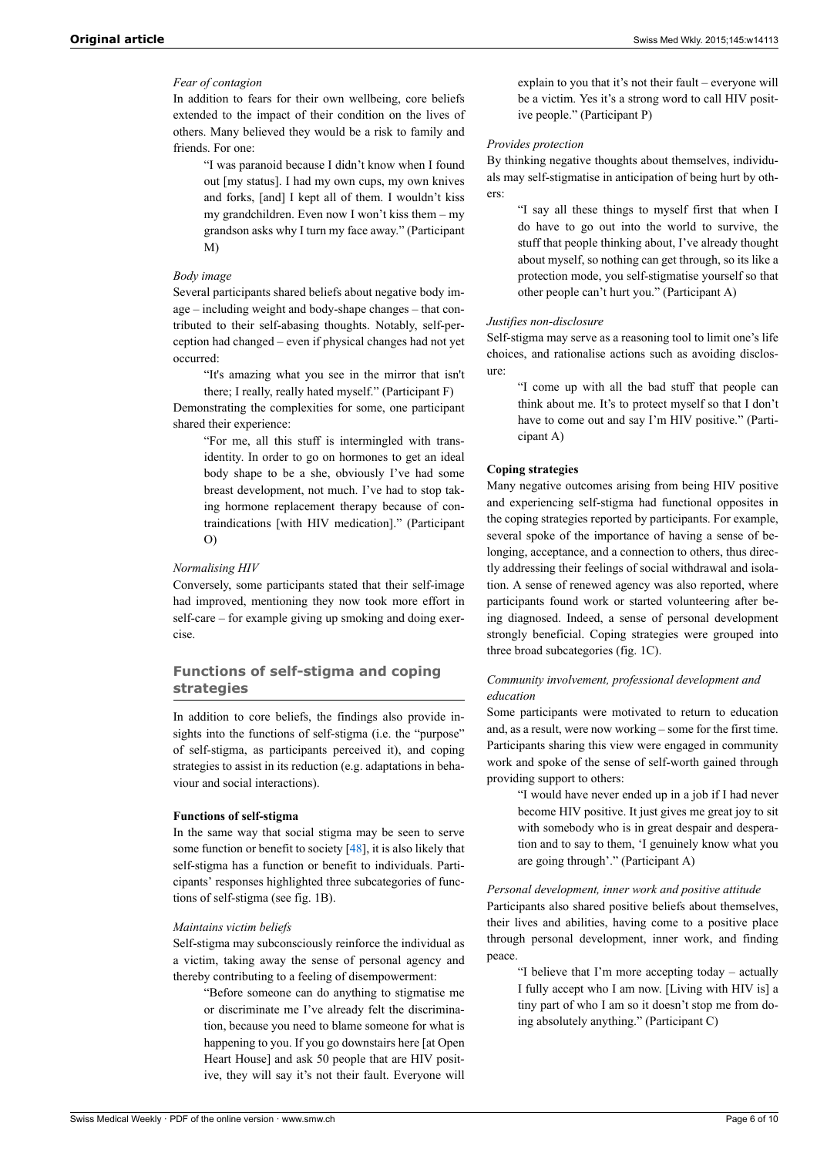# *Fear of contagion*

In addition to fears for their own wellbeing, core beliefs extended to the impact of their condition on the lives of others. Many believed they would be a risk to family and friends. For one:

> "I was paranoid because I didn't know when I found out [my status]. I had my own cups, my own knives and forks, [and] I kept all of them. I wouldn't kiss my grandchildren. Even now I won't kiss them – my grandson asks why I turn my face away." (Participant M)

# *Body image*

Several participants shared beliefs about negative body image – including weight and body-shape changes – that contributed to their self-abasing thoughts. Notably, self-perception had changed – even if physical changes had not yet occurred:

"It's amazing what you see in the mirror that isn't there; I really, really hated myself." (Participant F)

Demonstrating the complexities for some, one participant shared their experience:

> "For me, all this stuff is intermingled with transidentity. In order to go on hormones to get an ideal body shape to be a she, obviously I've had some breast development, not much. I've had to stop taking hormone replacement therapy because of contraindications [with HIV medication]." (Participant O)

#### *Normalising HIV*

Conversely, some participants stated that their self-image had improved, mentioning they now took more effort in self-care – for example giving up smoking and doing exercise.

# **Functions of self-stigma and coping strategies**

In addition to core beliefs, the findings also provide insights into the functions of self-stigma (i.e. the "purpose" of self-stigma, as participants perceived it), and coping strategies to assist in its reduction (e.g. adaptations in behaviour and social interactions).

## **Functions of self-stigma**

In the same way that social stigma may be seen to serve some function or benefit to society [[48\]](#page-8-10), it is also likely that self-stigma has a function or benefit to individuals. Participants' responses highlighted three subcategories of functions of self-stigma (see fig. 1B).

## *Maintains victim beliefs*

Self-stigma may subconsciously reinforce the individual as a victim, taking away the sense of personal agency and thereby contributing to a feeling of disempowerment:

> "Before someone can do anything to stigmatise me or discriminate me I've already felt the discrimination, because you need to blame someone for what is happening to you. If you go downstairs here [at Open Heart House] and ask 50 people that are HIV positive, they will say it's not their fault. Everyone will

explain to you that it's not their fault – everyone will be a victim. Yes it's a strong word to call HIV positive people." (Participant P)

## *Provides protection*

By thinking negative thoughts about themselves, individuals may self-stigmatise in anticipation of being hurt by others:

> "I say all these things to myself first that when I do have to go out into the world to survive, the stuff that people thinking about, I've already thought about myself, so nothing can get through, so its like a protection mode, you self-stigmatise yourself so that other people can't hurt you." (Participant A)

# *Justifies non-disclosure*

Self-stigma may serve as a reasoning tool to limit one's life choices, and rationalise actions such as avoiding disclosure:

> "I come up with all the bad stuff that people can think about me. It's to protect myself so that I don't have to come out and say I'm HIV positive." (Participant A)

## **Coping strategies**

Many negative outcomes arising from being HIV positive and experiencing self-stigma had functional opposites in the coping strategies reported by participants. For example, several spoke of the importance of having a sense of belonging, acceptance, and a connection to others, thus directly addressing their feelings of social withdrawal and isolation. A sense of renewed agency was also reported, where participants found work or started volunteering after being diagnosed. Indeed, a sense of personal development strongly beneficial. Coping strategies were grouped into three broad subcategories (fig. 1C).

# *Community involvement, professional development and education*

Some participants were motivated to return to education and, as a result, were now working – some for the first time. Participants sharing this view were engaged in community work and spoke of the sense of self-worth gained through providing support to others:

> "I would have never ended up in a job if I had never become HIV positive. It just gives me great joy to sit with somebody who is in great despair and desperation and to say to them, 'I genuinely know what you are going through'." (Participant A)

## *Personal development, inner work and positive attitude*

Participants also shared positive beliefs about themselves, their lives and abilities, having come to a positive place through personal development, inner work, and finding peace.

"I believe that I'm more accepting today – actually I fully accept who I am now. [Living with HIV is] a tiny part of who I am so it doesn't stop me from doing absolutely anything." (Participant C)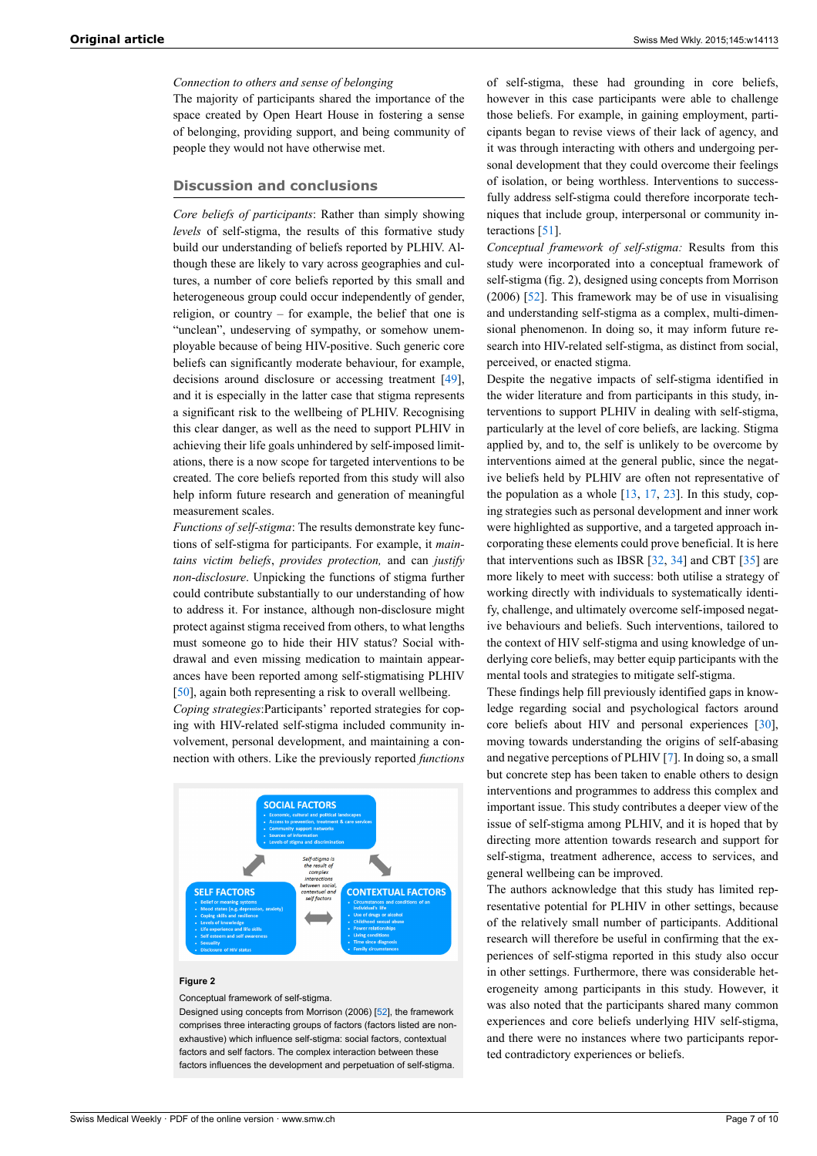*Connection to others and sense of belonging*

The majority of participants shared the importance of the space created by Open Heart House in fostering a sense of belonging, providing support, and being community of people they would not have otherwise met.

## **Discussion and conclusions**

*Core beliefs of participants*: Rather than simply showing *levels* of self-stigma, the results of this formative study build our understanding of beliefs reported by PLHIV. Although these are likely to vary across geographies and cultures, a number of core beliefs reported by this small and heterogeneous group could occur independently of gender, religion, or country – for example, the belief that one is "unclean", undeserving of sympathy, or somehow unemployable because of being HIV-positive. Such generic core beliefs can significantly moderate behaviour, for example, decisions around disclosure or accessing treatment [\[49](#page-8-11)], and it is especially in the latter case that stigma represents a significant risk to the wellbeing of PLHIV. Recognising this clear danger, as well as the need to support PLHIV in achieving their life goals unhindered by self-imposed limitations, there is a now scope for targeted interventions to be created. The core beliefs reported from this study will also help inform future research and generation of meaningful measurement scales.

*Functions of self-stigma*: The results demonstrate key functions of self-stigma for participants. For example, it *maintains victim beliefs*, *provides protection,* and can *justify non-disclosure*. Unpicking the functions of stigma further could contribute substantially to our understanding of how to address it. For instance, although non-disclosure might protect against stigma received from others, to what lengths must someone go to hide their HIV status? Social withdrawal and even missing medication to maintain appearances have been reported among self-stigmatising PLHIV [\[50](#page-8-12)], again both representing a risk to overall wellbeing.

*Coping strategies*:Participants' reported strategies for coping with HIV-related self-stigma included community involvement, personal development, and maintaining a connection with others. Like the previously reported *functions*



#### **Figure 2**

Conceptual framework of self-stigma.

Designed using concepts from Morrison (2006) [[52](#page-8-13)], the framework comprises three interacting groups of factors (factors listed are nonexhaustive) which influence self-stigma: social factors, contextual factors and self factors. The complex interaction between these factors influences the development and perpetuation of self-stigma.

of self-stigma, these had grounding in core beliefs, however in this case participants were able to challenge those beliefs. For example, in gaining employment, participants began to revise views of their lack of agency, and it was through interacting with others and undergoing personal development that they could overcome their feelings of isolation, or being worthless. Interventions to successfully address self-stigma could therefore incorporate techniques that include group, interpersonal or community interactions [[51\]](#page-8-14).

*Conceptual framework of self-stigma:* Results from this study were incorporated into a conceptual framework of self-stigma (fig. 2), designed using concepts from Morrison (2006) [\[52](#page-8-13)]. This framework may be of use in visualising and understanding self-stigma as a complex, multi-dimensional phenomenon. In doing so, it may inform future research into HIV-related self-stigma, as distinct from social, perceived, or enacted stigma.

Despite the negative impacts of self-stigma identified in the wider literature and from participants in this study, interventions to support PLHIV in dealing with self-stigma, particularly at the level of core beliefs, are lacking. Stigma applied by, and to, the self is unlikely to be overcome by interventions aimed at the general public, since the negative beliefs held by PLHIV are often not representative of the population as a whole  $[13, 17, 23]$  $[13, 17, 23]$  $[13, 17, 23]$  $[13, 17, 23]$  $[13, 17, 23]$  $[13, 17, 23]$ . In this study, coping strategies such as personal development and inner work were highlighted as supportive, and a targeted approach incorporating these elements could prove beneficial. It is here that interventions such as IBSR [[32,](#page-7-25) [34](#page-7-27)] and CBT [\[35](#page-7-28)] are more likely to meet with success: both utilise a strategy of working directly with individuals to systematically identify, challenge, and ultimately overcome self-imposed negative behaviours and beliefs. Such interventions, tailored to the context of HIV self-stigma and using knowledge of underlying core beliefs, may better equip participants with the mental tools and strategies to mitigate self-stigma.

These findings help fill previously identified gaps in knowledge regarding social and psychological factors around core beliefs about HIV and personal experiences [[30\]](#page-7-23), moving towards understanding the origins of self-abasing and negative perceptions of PLHIV [[7](#page-7-5)]. In doing so, a small but concrete step has been taken to enable others to design interventions and programmes to address this complex and important issue. This study contributes a deeper view of the issue of self-stigma among PLHIV, and it is hoped that by directing more attention towards research and support for self-stigma, treatment adherence, access to services, and general wellbeing can be improved.

The authors acknowledge that this study has limited representative potential for PLHIV in other settings, because of the relatively small number of participants. Additional research will therefore be useful in confirming that the experiences of self-stigma reported in this study also occur in other settings. Furthermore, there was considerable heterogeneity among participants in this study. However, it was also noted that the participants shared many common experiences and core beliefs underlying HIV self-stigma, and there were no instances where two participants reported contradictory experiences or beliefs.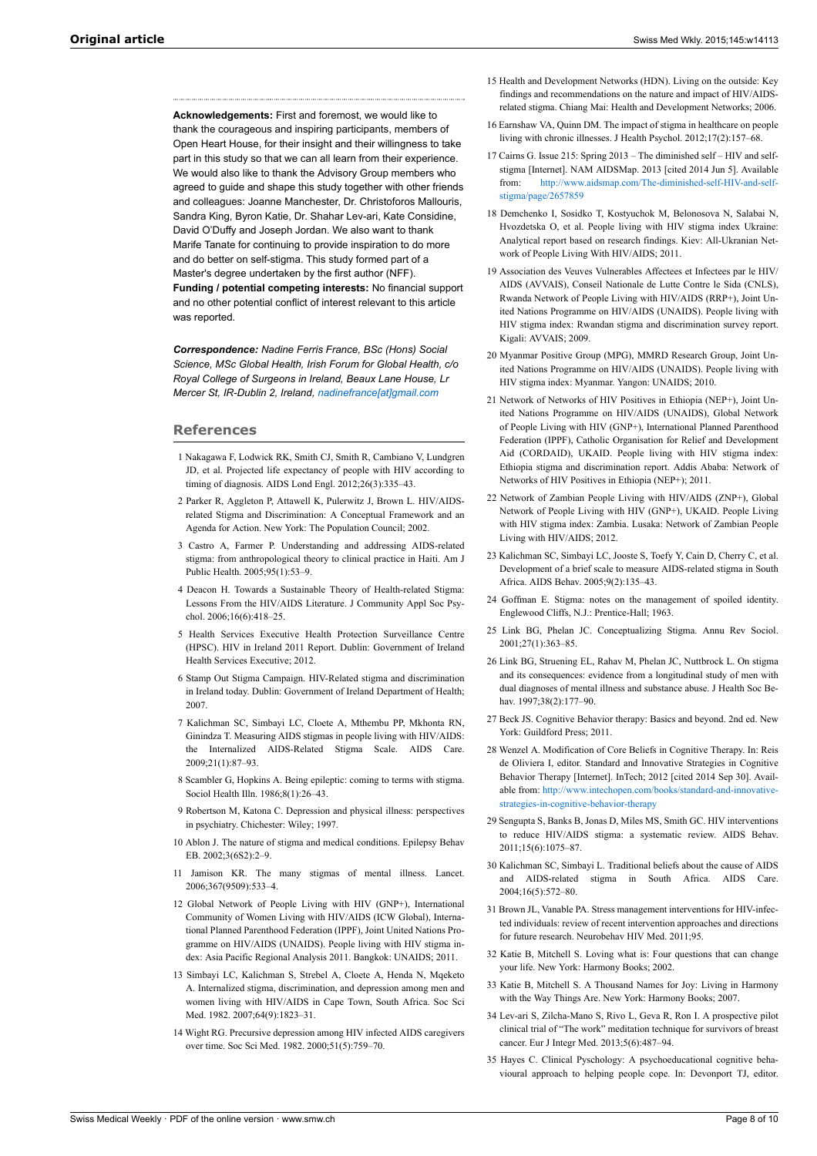<span id="page-7-14"></span><span id="page-7-13"></span><span id="page-7-12"></span><span id="page-7-11"></span>**Acknowledgements:** First and foremost, we would like to thank the courageous and inspiring participants, members of Open Heart House, for their insight and their willingness to take part in this study so that we can all learn from their experience. We would also like to thank the Advisory Group members who agreed to guide and shape this study together with other friends and colleagues: Joanne Manchester, Dr. Christoforos Mallouris Sandra King, Byron Katie, Dr. Shahar Lev-ari, Kate Considine, David O'Duffy and Joseph Jordan. We also want to thank Marife Tanate for continuing to provide inspiration to do more and do better on self-stigma. This study formed part of a Master's degree undertaken by the first author (NFF). **Funding / potential competing interests:** No financial support and no other potential conflict of interest relevant to this article was reported.

*Correspondence: Nadine Ferris France, BSc (Hons) Social Science, MSc Global Health, Irish Forum for Global Health, c/o Royal College of Surgeons in Ireland, Beaux Lane House, Lr Mercer St, IR-Dublin 2, Ireland, [nadinefrance\[at\]gmail.com](mailto:nadinefrance@gmail.com)*

#### <span id="page-7-0"></span>**References**

- 1 Nakagawa F, Lodwick RK, Smith CJ, Smith R, Cambiano V, Lundgren JD, et al. Projected life expectancy of people with HIV according to timing of diagnosis. AIDS Lond Engl. 2012;26(3):335–43.
- <span id="page-7-15"></span><span id="page-7-1"></span>2 Parker R, Aggleton P, Attawell K, Pulerwitz J, Brown L. HIV/AIDSrelated Stigma and Discrimination: A Conceptual Framework and an Agenda for Action. New York: The Population Council; 2002.
- <span id="page-7-16"></span>3 Castro A, Farmer P. Understanding and addressing AIDS-related stigma: from anthropological theory to clinical practice in Haiti. Am J Public Health. 2005;95(1):53–9.
- <span id="page-7-17"></span><span id="page-7-2"></span>4 Deacon H. Towards a Sustainable Theory of Health-related Stigma: Lessons From the HIV/AIDS Literature. J Community Appl Soc Psychol. 2006;16(6):418–25.
- <span id="page-7-18"></span><span id="page-7-3"></span>5 Health Services Executive Health Protection Surveillance Centre (HPSC). HIV in Ireland 2011 Report. Dublin: Government of Ireland Health Services Executive; 2012.
- <span id="page-7-19"></span><span id="page-7-4"></span>6 Stamp Out Stigma Campaign. HIV-Related stigma and discrimination in Ireland today. Dublin: Government of Ireland Department of Health; 2007.
- <span id="page-7-21"></span><span id="page-7-20"></span><span id="page-7-5"></span>7 Kalichman SC, Simbayi LC, Cloete A, Mthembu PP, Mkhonta RN, Ginindza T. Measuring AIDS stigmas in people living with HIV/AIDS: the Internalized AIDS-Related Stigma Scale. AIDS Care. 2009;21(1):87–93.
- <span id="page-7-6"></span>8 Scambler G, Hopkins A. Being epileptic: coming to terms with stigma. Sociol Health Illn. 1986;8(1):26–43.
- <span id="page-7-22"></span>9 Robertson M, Katona C. Depression and physical illness: perspectives in psychiatry. Chichester: Wiley; 1997.
- 10 Ablon J. The nature of stigma and medical conditions. Epilepsy Behav EB. 2002;3(6S2):2–9.
- <span id="page-7-23"></span><span id="page-7-7"></span>11 Jamison KR. The many stigmas of mental illness. Lancet. 2006;367(9509):533–4.
- <span id="page-7-24"></span><span id="page-7-8"></span>12 Global Network of People Living with HIV (GNP+), International Community of Women Living with HIV/AIDS (ICW Global), International Planned Parenthood Federation (IPPF), Joint United Nations Programme on HIV/AIDS (UNAIDS). People living with HIV stigma index: Asia Pacific Regional Analysis 2011. Bangkok: UNAIDS; 2011.
- <span id="page-7-26"></span><span id="page-7-25"></span><span id="page-7-9"></span>13 Simbayi LC, Kalichman S, Strebel A, Cloete A, Henda N, Mqeketo A. Internalized stigma, discrimination, and depression among men and women living with HIV/AIDS in Cape Town, South Africa. Soc Sci Med. 1982. 2007;64(9):1823–31.
- <span id="page-7-28"></span><span id="page-7-27"></span><span id="page-7-10"></span>14 Wight RG. Precursive depression among HIV infected AIDS caregivers over time. Soc Sci Med. 1982. 2000;51(5):759–70.
- 15 Health and Development Networks (HDN). Living on the outside: Key findings and recommendations on the nature and impact of HIV/AIDSrelated stigma. Chiang Mai: Health and Development Networks; 2006.
- 16 Earnshaw VA, Quinn DM. The impact of stigma in healthcare on people living with chronic illnesses. J Health Psychol. 2012;17(2):157–68.
- 17 Cairns G. Issue 215: Spring 2013 The diminished self HIV and selfstigma [Internet]. NAM AIDSMap. 2013 [cited 2014 Jun 5]. Available from: [http://www.aidsmap.com/The-diminished-self-HIV-and-self](http://www.aidsmap.com/The-diminished-self-HIV-and-self-stigma/page/2657859)[stigma/page/2657859](http://www.aidsmap.com/The-diminished-self-HIV-and-self-stigma/page/2657859)
- 18 Demchenko I, Sosidko T, Kostyuchok M, Belonosova N, Salabai N, Hvozdetska O, et al. People living with HIV stigma index Ukraine: Analytical report based on research findings. Kiev: All-Ukranian Network of People Living With HIV/AIDS; 2011.
- 19 Association des Veuves Vulnerables Affectees et Infectees par le HIV/ AIDS (AVVAIS), Conseil Nationale de Lutte Contre le Sida (CNLS), Rwanda Network of People Living with HIV/AIDS (RRP+), Joint United Nations Programme on HIV/AIDS (UNAIDS). People living with HIV stigma index: Rwandan stigma and discrimination survey report. Kigali: AVVAIS; 2009.
- 20 Myanmar Positive Group (MPG), MMRD Research Group, Joint United Nations Programme on HIV/AIDS (UNAIDS). People living with HIV stigma index: Myanmar. Yangon: UNAIDS; 2010.
- 21 Network of Networks of HIV Positives in Ethiopia (NEP+), Joint United Nations Programme on HIV/AIDS (UNAIDS), Global Network of People Living with HIV (GNP+), International Planned Parenthood Federation (IPPF), Catholic Organisation for Relief and Development Aid (CORDAID), UKAID. People living with HIV stigma index: Ethiopia stigma and discrimination report. Addis Ababa: Network of Networks of HIV Positives in Ethiopia (NEP+); 2011.
- 22 Network of Zambian People Living with HIV/AIDS (ZNP+), Global Network of People Living with HIV (GNP+), UKAID. People Living with HIV stigma index: Zambia. Lusaka: Network of Zambian People Living with HIV/AIDS; 2012.
- 23 Kalichman SC, Simbayi LC, Jooste S, Toefy Y, Cain D, Cherry C, et al. Development of a brief scale to measure AIDS-related stigma in South Africa. AIDS Behav. 2005;9(2):135–43.
- 24 Goffman E. Stigma: notes on the management of spoiled identity. Englewood Cliffs, N.J.: Prentice-Hall; 1963.
- 25 Link BG, Phelan JC. Conceptualizing Stigma. Annu Rev Sociol. 2001;27(1):363–85.
- 26 Link BG, Struening EL, Rahav M, Phelan JC, Nuttbrock L. On stigma and its consequences: evidence from a longitudinal study of men with dual diagnoses of mental illness and substance abuse. J Health Soc Behav. 1997:38(2):177-90.
- 27 Beck JS. Cognitive Behavior therapy: Basics and beyond. 2nd ed. New York: Guildford Press; 2011.
- 28 Wenzel A. Modification of Core Beliefs in Cognitive Therapy. In: Reis de Oliviera I, editor. Standard and Innovative Strategies in Cognitive Behavior Therapy [Internet]. InTech; 2012 [cited 2014 Sep 30]. Available from: [http://www.intechopen.com/books/standard-and-innovative](http://www.intechopen.com/books/standard-and-innovative-strategies-in-cognitive-behavior-therapy)[strategies-in-cognitive-behavior-therapy](http://www.intechopen.com/books/standard-and-innovative-strategies-in-cognitive-behavior-therapy)
- 29 Sengupta S, Banks B, Jonas D, Miles MS, Smith GC. HIV interventions to reduce HIV/AIDS stigma: a systematic review. AIDS Behav. 2011;15(6):1075–87.
- 30 Kalichman SC, Simbayi L. Traditional beliefs about the cause of AIDS and AIDS-related stigma in South Africa. AIDS Care. 2004;16(5):572–80.
- 31 Brown JL, Vanable PA. Stress management interventions for HIV-infected individuals: review of recent intervention approaches and directions for future research. Neurobehav HIV Med. 2011;95.
- 32 Katie B, Mitchell S. Loving what is: Four questions that can change your life. New York: Harmony Books; 2002.
- 33 Katie B, Mitchell S. A Thousand Names for Joy: Living in Harmony with the Way Things Are. New York: Harmony Books; 2007.
- 34 Lev-ari S, Zilcha-Mano S, Rivo L, Geva R, Ron I. A prospective pilot clinical trial of "The work" meditation technique for survivors of breast cancer. Eur J Integr Med. 2013;5(6):487–94.
- 35 Hayes C. Clinical Pyschology: A psychoeducational cognitive behavioural approach to helping people cope. In: Devonport TJ, editor.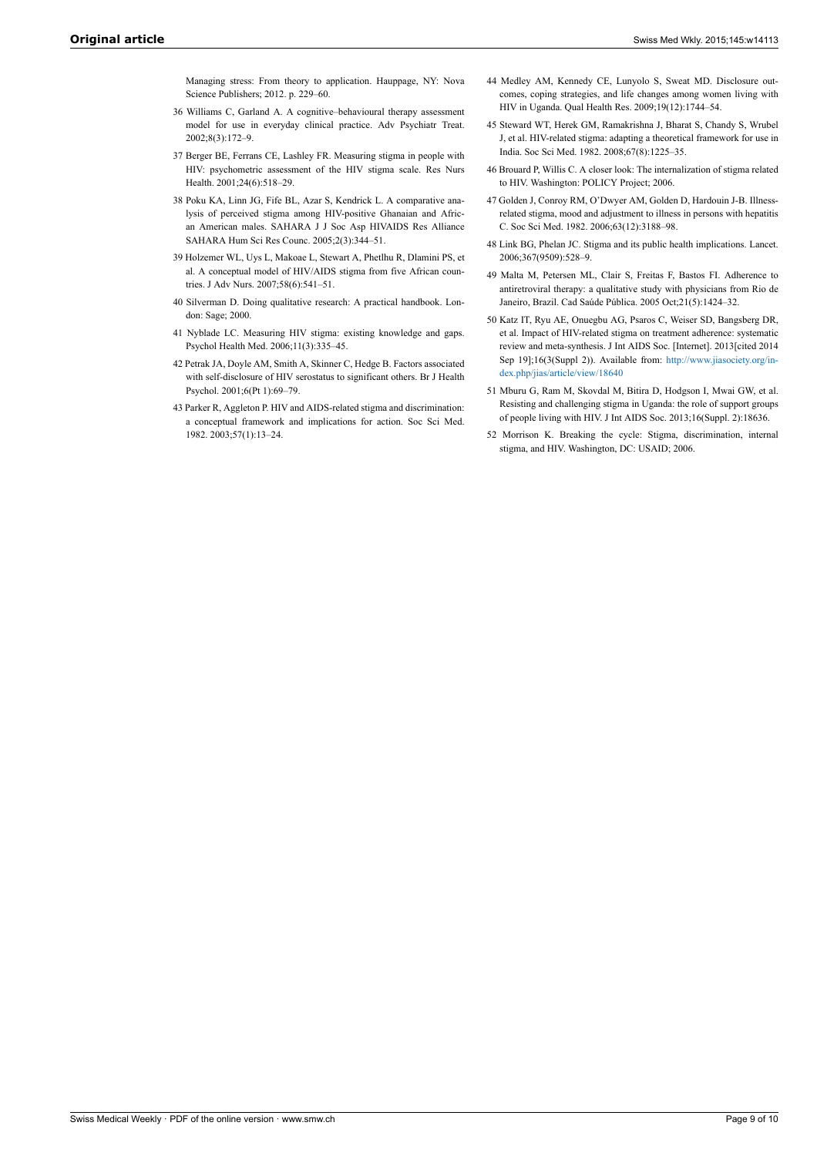Managing stress: From theory to application. Hauppage, NY: Nova Science Publishers; 2012. p. 229–60.

- <span id="page-8-8"></span><span id="page-8-7"></span><span id="page-8-0"></span>36 Williams C, Garland A. A cognitive–behavioural therapy assessment model for use in everyday clinical practice. Adv Psychiatr Treat. 2002;8(3):172–9.
- <span id="page-8-9"></span><span id="page-8-1"></span>37 Berger BE, Ferrans CE, Lashley FR. Measuring stigma in people with HIV: psychometric assessment of the HIV stigma scale. Res Nurs Health. 2001;24(6):518–29.
- <span id="page-8-2"></span>38 Poku KA, Linn JG, Fife BL, Azar S, Kendrick L. A comparative analysis of perceived stigma among HIV-positive Ghanaian and African American males. SAHARA J J Soc Asp HIVAIDS Res Alliance SAHARA Hum Sci Res Counc. 2005;2(3):344–51.
- <span id="page-8-11"></span><span id="page-8-10"></span><span id="page-8-3"></span>39 Holzemer WL, Uys L, Makoae L, Stewart A, Phetlhu R, Dlamini PS, et al. A conceptual model of HIV/AIDS stigma from five African countries. J Adv Nurs. 2007;58(6):541–51.
- <span id="page-8-12"></span><span id="page-8-4"></span>40 Silverman D. Doing qualitative research: A practical handbook. London: Sage; 2000.
- <span id="page-8-5"></span>41 Nyblade LC. Measuring HIV stigma: existing knowledge and gaps. Psychol Health Med. 2006;11(3):335–45.
- <span id="page-8-6"></span>42 Petrak JA, Doyle AM, Smith A, Skinner C, Hedge B. Factors associated with self-disclosure of HIV serostatus to significant others. Br J Health Psychol. 2001;6(Pt 1):69–79.
- <span id="page-8-14"></span><span id="page-8-13"></span>43 Parker R, Aggleton P. HIV and AIDS-related stigma and discrimination: a conceptual framework and implications for action. Soc Sci Med. 1982. 2003;57(1):13–24.
- 44 Medley AM, Kennedy CE, Lunyolo S, Sweat MD. Disclosure outcomes, coping strategies, and life changes among women living with HIV in Uganda. Qual Health Res. 2009;19(12):1744–54.
- 45 Steward WT, Herek GM, Ramakrishna J, Bharat S, Chandy S, Wrubel J, et al. HIV-related stigma: adapting a theoretical framework for use in India. Soc Sci Med. 1982. 2008;67(8):1225–35.
- 46 Brouard P, Willis C. A closer look: The internalization of stigma related to HIV. Washington: POLICY Project; 2006.
- 47 Golden J, Conroy RM, O'Dwyer AM, Golden D, Hardouin J-B. Illnessrelated stigma, mood and adjustment to illness in persons with hepatitis C. Soc Sci Med. 1982. 2006;63(12):3188–98.
- 48 Link BG, Phelan JC. Stigma and its public health implications. Lancet. 2006;367(9509):528–9.
- 49 Malta M, Petersen ML, Clair S, Freitas F, Bastos FI. Adherence to antiretroviral therapy: a qualitative study with physicians from Rio de Janeiro, Brazil. Cad Saúde Pública. 2005 Oct;21(5):1424–32.
- 50 Katz IT, Ryu AE, Onuegbu AG, Psaros C, Weiser SD, Bangsberg DR, et al. Impact of HIV-related stigma on treatment adherence: systematic review and meta-synthesis. J Int AIDS Soc. [Internet]. 2013[cited 2014 Sep 19];16(3(Suppl 2)). Available from: [http://www.jiasociety.org/in](http://www.jiasociety.org/index.php/jias/article/view/18640)[dex.php/jias/article/view/18640](http://www.jiasociety.org/index.php/jias/article/view/18640)
- 51 Mburu G, Ram M, Skovdal M, Bitira D, Hodgson I, Mwai GW, et al. Resisting and challenging stigma in Uganda: the role of support groups of people living with HIV. J Int AIDS Soc. 2013;16(Suppl. 2):18636.
- 52 Morrison K. Breaking the cycle: Stigma, discrimination, internal stigma, and HIV. Washington, DC: USAID; 2006.